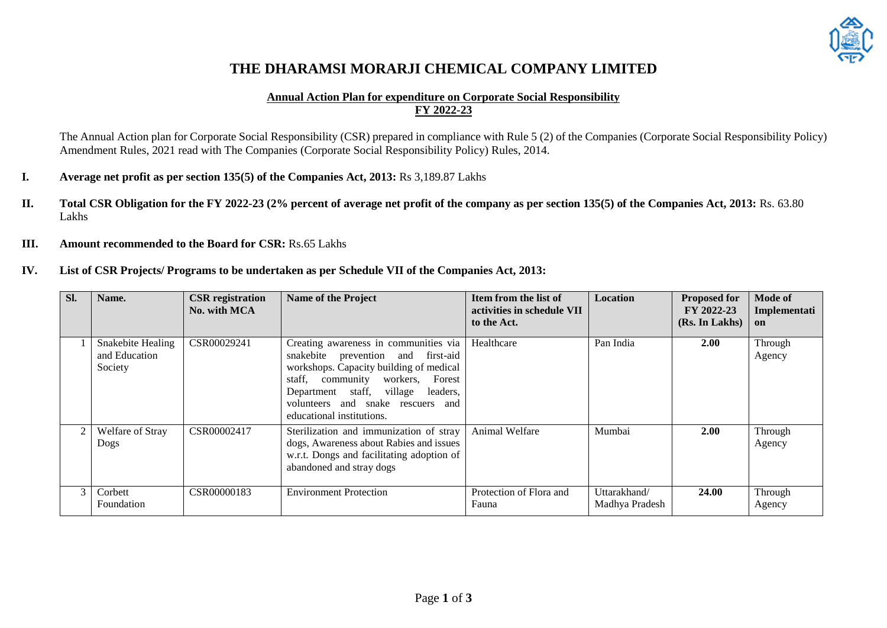

# **THE DHARAMSI MORARJI CHEMICAL COMPANY LIMITED**

#### **Annual Action Plan for expenditure on Corporate Social Responsibility FY 2022-23**

The Annual Action plan for Corporate Social Responsibility (CSR) prepared in compliance with Rule 5 (2) of the Companies (Corporate Social Responsibility Policy) Amendment Rules, 2021 read with The Companies (Corporate Social Responsibility Policy) Rules, 2014.

- **I. Average net profit as per section 135(5) of the Companies Act, 2013:** Rs 3,189.87 Lakhs
- **II. Total CSR Obligation for the FY 2022-23 (2% percent of average net profit of the company as per section 135(5) of the Companies Act, 2013:** Rs. 63.80 Lakhs
- **III. Amount recommended to the Board for CSR:** Rs.65 Lakhs
- **IV. List of CSR Projects/ Programs to be undertaken as per Schedule VII of the Companies Act, 2013:**

| Sl. | Name.                                         | <b>CSR</b> registration<br>No. with MCA | <b>Name of the Project</b>                                                                                                                                                                                                                                               | Item from the list of<br>activities in schedule VII<br>to the Act. | Location                       | <b>Proposed for</b><br>FY 2022-23<br>(Rs. In Lakhs) | Mode of<br>Implementati<br>on |
|-----|-----------------------------------------------|-----------------------------------------|--------------------------------------------------------------------------------------------------------------------------------------------------------------------------------------------------------------------------------------------------------------------------|--------------------------------------------------------------------|--------------------------------|-----------------------------------------------------|-------------------------------|
|     | Snakebite Healing<br>and Education<br>Society | CSR00029241                             | Creating awareness in communities via<br>snakebite prevention and first-aid<br>workshops. Capacity building of medical<br>staff, community workers,<br>Forest<br>Department staff, village<br>leaders,<br>volunteers and snake rescuers and<br>educational institutions. | Healthcare                                                         | Pan India                      | <b>2.00</b>                                         | Through<br>Agency             |
| 2   | Welfare of Stray<br>Dogs                      | CSR00002417                             | Sterilization and immunization of stray<br>dogs, Awareness about Rabies and issues<br>w.r.t. Dongs and facilitating adoption of<br>abandoned and stray dogs                                                                                                              | Animal Welfare                                                     | Mumbai                         | 2.00                                                | Through<br>Agency             |
| 3   | Corbett<br>Foundation                         | CSR00000183                             | <b>Environment Protection</b>                                                                                                                                                                                                                                            | Protection of Flora and<br>Fauna                                   | Uttarakhand/<br>Madhya Pradesh | 24.00                                               | Through<br>Agency             |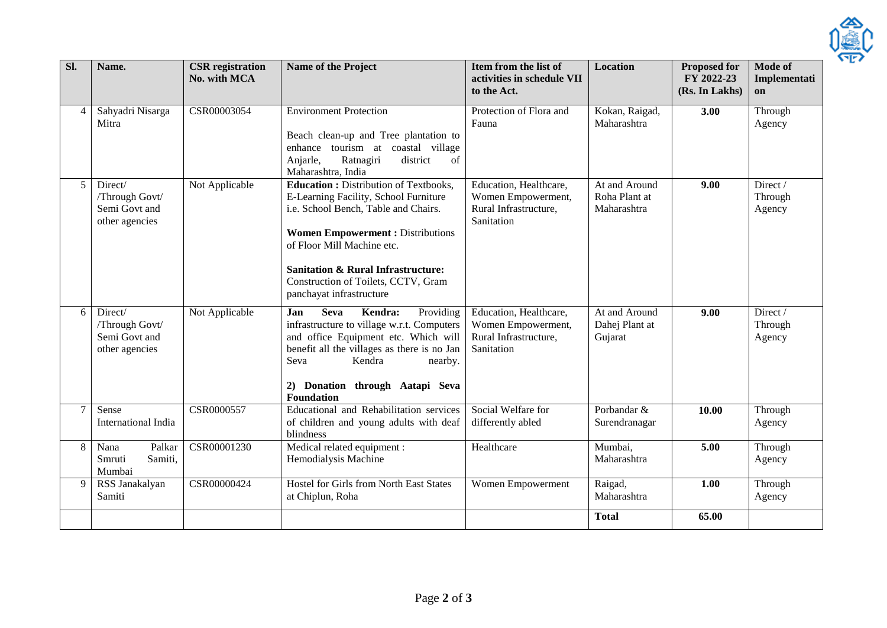

| $\overline{sl}$ . | Name.                                                        | <b>CSR</b> registration<br>No. with MCA | <b>Name of the Project</b>                                                                                                                                                                                                                                                                                                  | Item from the list of<br>activities in schedule VII<br>to the Act.                  | <b>Location</b>                               | <b>Proposed for</b><br>FY 2022-23<br>(Rs. In Lakhs) | <b>Mode of</b><br>Implementati<br>on |
|-------------------|--------------------------------------------------------------|-----------------------------------------|-----------------------------------------------------------------------------------------------------------------------------------------------------------------------------------------------------------------------------------------------------------------------------------------------------------------------------|-------------------------------------------------------------------------------------|-----------------------------------------------|-----------------------------------------------------|--------------------------------------|
| $\overline{4}$    | Sahyadri Nisarga<br>Mitra                                    | CSR00003054                             | <b>Environment Protection</b><br>Beach clean-up and Tree plantation to<br>enhance tourism at coastal village<br>Anjarle,<br>Ratnagiri<br>district<br>of<br>Maharashtra, India                                                                                                                                               | Protection of Flora and<br>Fauna                                                    | Kokan, Raigad,<br>Maharashtra                 | 3.00                                                | Through<br>Agency                    |
| 5                 | Direct/<br>/Through Govt/<br>Semi Govt and<br>other agencies | Not Applicable                          | <b>Education : Distribution of Textbooks,</b><br>E-Learning Facility, School Furniture<br>i.e. School Bench, Table and Chairs.<br><b>Women Empowerment: Distributions</b><br>of Floor Mill Machine etc.<br><b>Sanitation &amp; Rural Infrastructure:</b><br>Construction of Toilets, CCTV, Gram<br>panchayat infrastructure | Education, Healthcare,<br>Women Empowerment,<br>Rural Infrastructure,<br>Sanitation | At and Around<br>Roha Plant at<br>Maharashtra | 9.00                                                | Direct/<br>Through<br>Agency         |
| 6                 | Direct/<br>/Through Govt/<br>Semi Govt and<br>other agencies | Not Applicable                          | Kendra:<br>Providing<br>Jan<br><b>Seva</b><br>infrastructure to village w.r.t. Computers<br>and office Equipment etc. Which will<br>benefit all the villages as there is no Jan<br>Kendra<br>Seva<br>nearby.<br>2) Donation through Aatapi Seva<br>Foundation                                                               | Education, Healthcare,<br>Women Empowerment,<br>Rural Infrastructure,<br>Sanitation | At and Around<br>Dahej Plant at<br>Gujarat    | 9.00                                                | Direct/<br>Through<br>Agency         |
| 7                 | Sense<br>International India                                 | CSR0000557                              | Educational and Rehabilitation services<br>of children and young adults with deaf<br>blindness                                                                                                                                                                                                                              | Social Welfare for<br>differently abled                                             | Porbandar &<br>Surendranagar                  | 10.00                                               | Through<br>Agency                    |
| 8                 | Palkar<br>Nana<br>Smruti<br>Samiti,<br>Mumbai                | CSR00001230                             | Medical related equipment :<br>Hemodialysis Machine                                                                                                                                                                                                                                                                         | Healthcare                                                                          | Mumbai,<br>Maharashtra                        | 5.00                                                | Through<br>Agency                    |
| 9                 | RSS Janakalyan<br>Samiti                                     | CSR00000424                             | Hostel for Girls from North East States<br>at Chiplun, Roha                                                                                                                                                                                                                                                                 | Women Empowerment                                                                   | Raigad,<br>Maharashtra                        | 1.00                                                | Through<br>Agency                    |
|                   |                                                              |                                         |                                                                                                                                                                                                                                                                                                                             |                                                                                     | <b>Total</b>                                  | 65.00                                               |                                      |